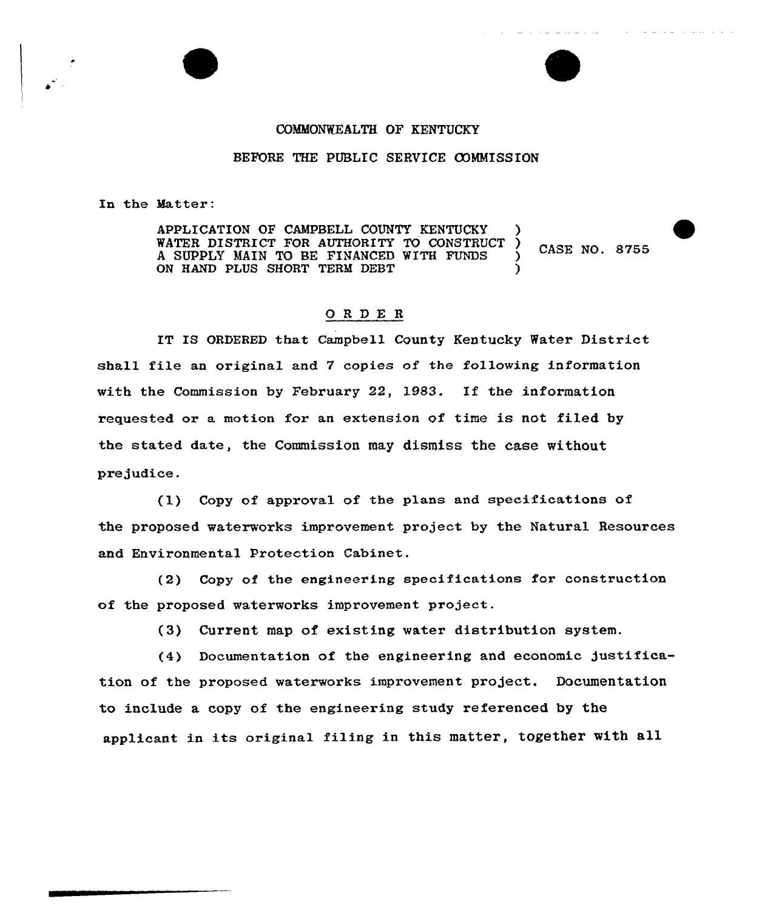## COMMONWEALTH OF KENTUCKY

## BEFORE THE PUBLIC SERVICE COMMISSION

In the Hatter:

APPLICATION OF CAMPBELL COUNTY KENTUCKY WATER DISTRICT FOR AUTHORITY TO CONSTRUCT ) CASE NO. 8755 A SUPPLY MAIN TO BE FINANCED WITH FUNDS ON HAND PLUS SHORT TERM DEBT

## 0RDE <sup>R</sup>

IT IS ORDERED that Campbell County Kentucky Water District shall file an original and 7 copies of the following information with the Commission by February 22, 1983. If the information requested or a motion for an extension of time is not filed by the stated date, the Commission may dismiss the case without pre judice .

(l) Copy of approval of the plans and specifications of the proposed waterworks improvement project by the Natural Resources and Environmental protection Cabinet.

(2) Copy of the engineering specifications for construction of the proposed waterworks improvement project.

(3) Current map of existing water distribution system.

(4) Documentation of the engineering and economic justification of the proposed waterworks improvement project. Documentation to include a copy of the engineering study referenced by the applicant in its original filing in this matter, together with all